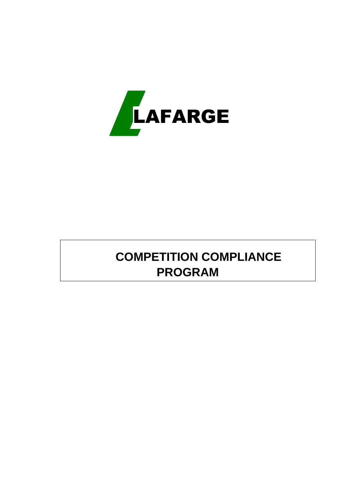

# **COMPETITION COMPLIANCE PROGRAM**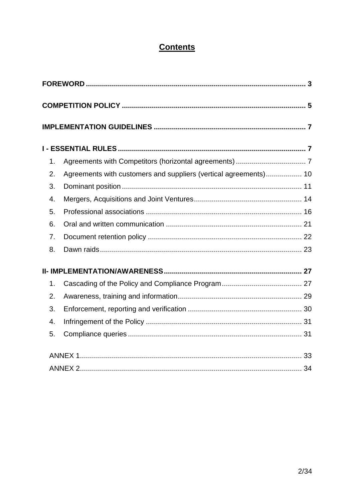# **Contents**

|    | Agreements with customers and suppliers (vertical agreements) 10 |  |
|----|------------------------------------------------------------------|--|
| 1. |                                                                  |  |
| 2. |                                                                  |  |
| 3. |                                                                  |  |
| 4. |                                                                  |  |
| 5. |                                                                  |  |
| 6. |                                                                  |  |
| 7. |                                                                  |  |
| 8. |                                                                  |  |
|    |                                                                  |  |
| 1. |                                                                  |  |
| 2. |                                                                  |  |
| 3. |                                                                  |  |
| 4. |                                                                  |  |
| 5. |                                                                  |  |
|    |                                                                  |  |
|    |                                                                  |  |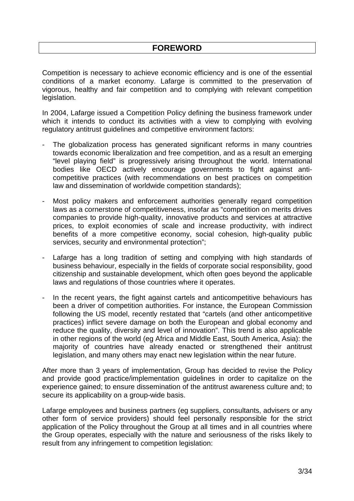Competition is necessary to achieve economic efficiency and is one of the essential conditions of a market economy. Lafarge is committed to the preservation of vigorous, healthy and fair competition and to complying with relevant competition legislation.

In 2004, Lafarge issued a Competition Policy defining the business framework under which it intends to conduct its activities with a view to complying with evolving regulatory antitrust guidelines and competitive environment factors:

- The globalization process has generated significant reforms in many countries towards economic liberalization and free competition, and as a result an emerging "level playing field" is progressively arising throughout the world. International bodies like OECD actively encourage governments to fight against anticompetitive practices (with recommendations on best practices on competition law and dissemination of worldwide competition standards);
- Most policy makers and enforcement authorities generally regard competition laws as a cornerstone of competitiveness, insofar as "competition on merits drives companies to provide high-quality, innovative products and services at attractive prices, to exploit economies of scale and increase productivity, with indirect benefits of a more competitive economy, social cohesion, high-quality public services, security and environmental protection";
- Lafarge has a long tradition of setting and complying with high standards of business behaviour, especially in the fields of corporate social responsibility, good citizenship and sustainable development, which often goes beyond the applicable laws and regulations of those countries where it operates.
- In the recent years, the fight against cartels and anticompetitive behaviours has been a driver of competition authorities. For instance, the European Commission following the US model, recently restated that "cartels (and other anticompetitive practices) inflict severe damage on both the European and global economy and reduce the quality, diversity and level of innovation". This trend is also applicable in other regions of the world (eg Africa and Middle East, South America, Asia): the majority of countries have already enacted or strengthened their antitrust legislation, and many others may enact new legislation within the near future.

After more than 3 years of implementation, Group has decided to revise the Policy and provide good practice/implementation guidelines in order to capitalize on the experience gained; to ensure dissemination of the antitrust awareness culture and; to secure its applicability on a group-wide basis.

Lafarge employees and business partners (eg suppliers, consultants, advisers or any other form of service providers) should feel personally responsible for the strict application of the Policy throughout the Group at all times and in all countries where the Group operates, especially with the nature and seriousness of the risks likely to result from any infringement to competition legislation: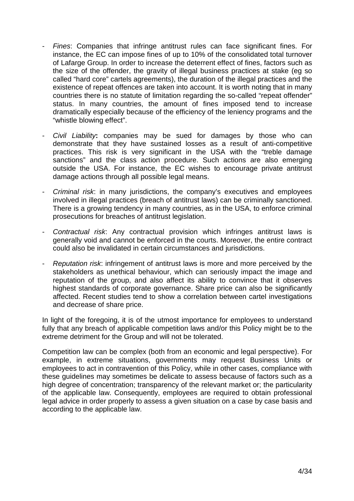- Fines: Companies that infringe antitrust rules can face significant fines. For instance, the EC can impose fines of up to 10% of the consolidated total turnover of Lafarge Group. In order to increase the deterrent effect of fines, factors such as the size of the offender, the gravity of illegal business practices at stake (eg so called "hard core" cartels agreements), the duration of the illegal practices and the existence of repeat offences are taken into account. It is worth noting that in many countries there is no statute of limitation regarding the so-called "repeat offender" status. In many countries, the amount of fines imposed tend to increase dramatically especially because of the efficiency of the leniency programs and the "whistle blowing effect".
- Civil Liability**:** companies may be sued for damages by those who can demonstrate that they have sustained losses as a result of anti-competitive practices. This risk is very significant in the USA with the "treble damage sanctions" and the class action procedure. Such actions are also emerging outside the USA. For instance, the EC wishes to encourage private antitrust damage actions through all possible legal means.
- Criminal risk: in many jurisdictions, the company's executives and employees involved in illegal practices (breach of antitrust laws) can be criminally sanctioned. There is a growing tendency in many countries, as in the USA, to enforce criminal prosecutions for breaches of antitrust legislation.
- Contractual risk: Any contractual provision which infringes antitrust laws is generally void and cannot be enforced in the courts. Moreover, the entire contract could also be invalidated in certain circumstances and jurisdictions.
- Reputation risk: infringement of antitrust laws is more and more perceived by the stakeholders as unethical behaviour, which can seriously impact the image and reputation of the group, and also affect its ability to convince that it observes highest standards of corporate governance. Share price can also be significantly affected. Recent studies tend to show a correlation between cartel investigations and decrease of share price.

In light of the foregoing, it is of the utmost importance for employees to understand fully that any breach of applicable competition laws and/or this Policy might be to the extreme detriment for the Group and will not be tolerated.

Competition law can be complex (both from an economic and legal perspective). For example, in extreme situations, governments may request Business Units or employees to act in contravention of this Policy, while in other cases, compliance with these guidelines may sometimes be delicate to assess because of factors such as a high degree of concentration; transparency of the relevant market or; the particularity of the applicable law. Consequently, employees are required to obtain professional legal advice in order properly to assess a given situation on a case by case basis and according to the applicable law.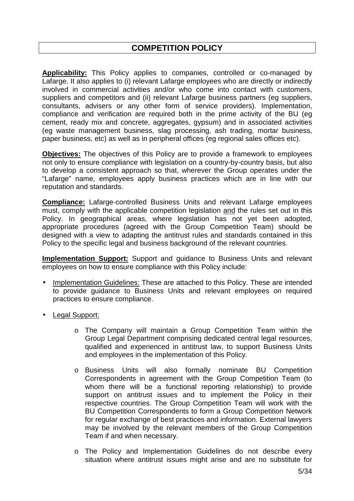# **COMPETITION POLICY**

**Applicability:** This Policy applies to companies, controlled or co-managed by Lafarge. It also applies to (i) relevant Lafarge employees who are directly or indirectly involved in commercial activities and/or who come into contact with customers, suppliers and competitors and (ii) relevant Lafarge business partners (eg suppliers, consultants, advisers or any other form of service providers). Implementation, compliance and verification are required both in the prime activity of the BU (eg cement, ready mix and concrete, aggregates, gypsum) and in associated activities (eg waste management business, slag processing, ash trading, mortar business, paper business, etc) as well as in peripheral offices (eg regional sales offices etc).

**Objectives:** The objectives of this Policy are to provide a framework to employees not only to ensure compliance with legislation on a country-by-country basis, but also to develop a consistent approach so that, wherever the Group operates under the "Lafarge" name, employees apply business practices which are in line with our reputation and standards.

**Compliance:** Lafarge-controlled Business Units and relevant Lafarge employees must, comply with the applicable competition legislation and the rules set out in this Policy. In geographical areas, where legislation has not yet been adopted, appropriate procedures (agreed with the Group Competition Team) should be designed with a view to adapting the antitrust rules and standards contained in this Policy to the specific legal and business background of the relevant countries.

**Implementation Support:** Support and guidance to Business Units and relevant employees on how to ensure compliance with this Policy include:

- Implementation Guidelines: These are attached to this Policy. These are intended to provide guidance to Business Units and relevant employees on required practices to ensure compliance.
- Legal Support:
	- o The Company will maintain a Group Competition Team within the Group Legal Department comprising dedicated central legal resources, qualified and experienced in antitrust law, to support Business Units and employees in the implementation of this Policy.
	- o Business Units will also formally nominate BU Competition Correspondents in agreement with the Group Competition Team (to whom there will be a functional reporting relationship) to provide support on antitrust issues and to implement the Policy in their respective countries. The Group Competition Team will work with the BU Competition Correspondents to form a Group Competition Network for regular exchange of best practices and information. External lawyers may be involved by the relevant members of the Group Competition Team if and when necessary.
	- o The Policy and Implementation Guidelines do not describe every situation where antitrust issues might arise and are no substitute for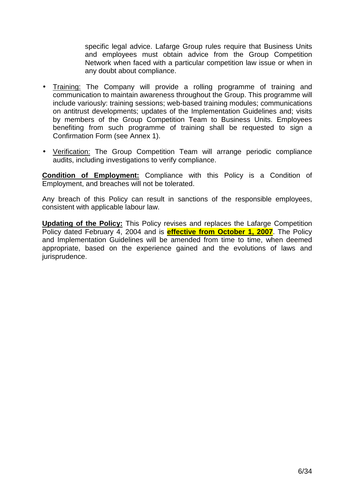specific legal advice. Lafarge Group rules require that Business Units and employees must obtain advice from the Group Competition Network when faced with a particular competition law issue or when in any doubt about compliance.

- Training: The Company will provide a rolling programme of training and communication to maintain awareness throughout the Group. This programme will include variously: training sessions; web-based training modules; communications on antitrust developments; updates of the Implementation Guidelines and; visits by members of the Group Competition Team to Business Units. Employees benefiting from such programme of training shall be requested to sign a Confirmation Form (see Annex 1).
- Verification: The Group Competition Team will arrange periodic compliance audits, including investigations to verify compliance.

**Condition of Employment:** Compliance with this Policy is a Condition of Employment, and breaches will not be tolerated.

Any breach of this Policy can result in sanctions of the responsible employees, consistent with applicable labour law.

**Updating of the Policy:** This Policy revises and replaces the Lafarge Competition Policy dated February 4, 2004 and is **effective from October 1, 2007**. The Policy and Implementation Guidelines will be amended from time to time, when deemed appropriate, based on the experience gained and the evolutions of laws and jurisprudence.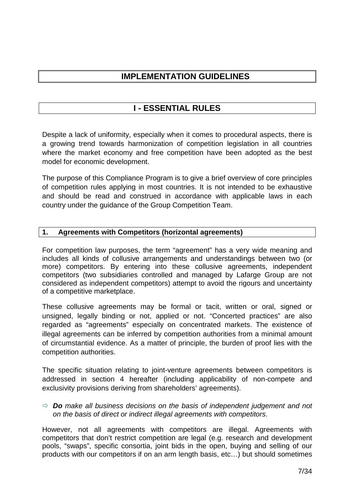# **IMPLEMENTATION GUIDELINES**

# **I - ESSENTIAL RULES**

Despite a lack of uniformity, especially when it comes to procedural aspects, there is a growing trend towards harmonization of competition legislation in all countries where the market economy and free competition have been adopted as the best model for economic development.

The purpose of this Compliance Program is to give a brief overview of core principles of competition rules applying in most countries. It is not intended to be exhaustive and should be read and construed in accordance with applicable laws in each country under the guidance of the Group Competition Team.

# **1. Agreements with Competitors (horizontal agreements)**

For competition law purposes, the term "agreement" has a very wide meaning and includes all kinds of collusive arrangements and understandings between two (or more) competitors. By entering into these collusive agreements, independent competitors (two subsidiaries controlled and managed by Lafarge Group are not considered as independent competitors) attempt to avoid the rigours and uncertainty of a competitive marketplace.

These collusive agreements may be formal or tacit, written or oral, signed or unsigned, legally binding or not, applied or not. "Concerted practices" are also regarded as "agreements" especially on concentrated markets. The existence of illegal agreements can be inferred by competition authorities from a minimal amount of circumstantial evidence. As a matter of principle, the burden of proof lies with the competition authorities.

The specific situation relating to joint-venture agreements between competitors is addressed in section 4 hereafter (including applicability of non-compete and exclusivity provisions deriving from shareholders' agreements).

# **Do** make all business decisions on the basis of independent judgement and not on the basis of direct or indirect illegal agreements with competitors.

However, not all agreements with competitors are illegal. Agreements with competitors that don't restrict competition are legal (e.g. research and development pools, "swaps", specific consortia, joint bids in the open, buying and selling of our products with our competitors if on an arm length basis, etc…) but should sometimes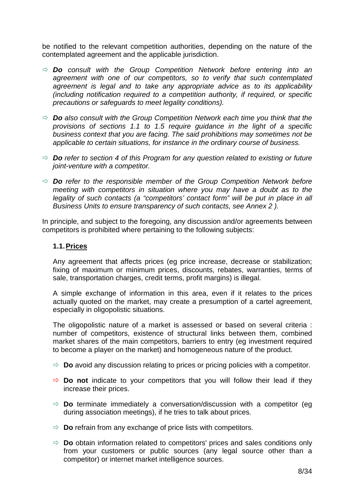be notified to the relevant competition authorities, depending on the nature of the contemplated agreement and the applicable jurisdiction.

- **Do** consult with the Group Competition Network before entering into an agreement with one of our competitors, so to verify that such contemplated agreement is legal and to take any appropriate advice as to its applicability (including notification required to a competition authority, if required, or specific precautions or safeguards to meet legality conditions).
- **Do** also consult with the Group Competition Network each time you think that the provisions of sections 1.1 to 1.5 require guidance in the light of a specific business context that you are facing. The said prohibitions may sometimes not be applicable to certain situations, for instance in the ordinary course of business.
- **Do** refer to section 4 of this Program for any question related to existing or future joint-venture with a competitor.
- **Do** refer to the responsible member of the Group Competition Network before meeting with competitors in situation where you may have a doubt as to the legality of such contacts (a "competitors' contact form" will be put in place in all Business Units to ensure transparency of such contacts, see Annex 2 ).

In principle, and subject to the foregoing, any discussion and/or agreements between competitors is prohibited where pertaining to the following subjects:

# **1.1. Prices**

Any agreement that affects prices (eg price increase, decrease or stabilization; fixing of maximum or minimum prices, discounts, rebates, warranties, terms of sale, transportation charges, credit terms, profit margins) is illegal.

A simple exchange of information in this area, even if it relates to the prices actually quoted on the market, may create a presumption of a cartel agreement, especially in oligopolistic situations.

The oligopolistic nature of a market is assessed or based on several criteria : number of competitors, existence of structural links between them, combined market shares of the main competitors, barriers to entry (eg investment required to become a player on the market) and homogeneous nature of the product.

- $\Rightarrow$  **Do** avoid any discussion relating to prices or pricing policies with a competitor.
- $\Rightarrow$  **Do not** indicate to your competitors that you will follow their lead if they increase their prices.
- $\Rightarrow$  **Do** terminate immediately a conversation/discussion with a competitor (eq. during association meetings), if he tries to talk about prices.
- $\Rightarrow$  **Do** refrain from any exchange of price lists with competitors.
- **Do** obtain information related to competitors' prices and sales conditions only from your customers or public sources (any legal source other than a competitor) or internet market intelligence sources.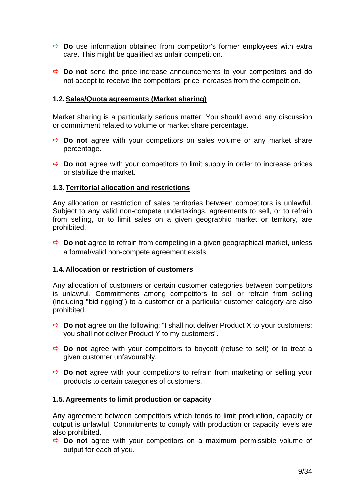- $\Rightarrow$  **Do** use information obtained from competitor's former employees with extra care. This might be qualified as unfair competition.
- $\Rightarrow$  **Do not** send the price increase announcements to your competitors and do not accept to receive the competitors' price increases from the competition.

### **1.2. Sales/Quota agreements (Market sharing)**

Market sharing is a particularly serious matter. You should avoid any discussion or commitment related to volume or market share percentage.

- **Do not** agree with your competitors on sales volume or any market share percentage.
- $\Rightarrow$  **Do not** agree with your competitors to limit supply in order to increase prices or stabilize the market.

### **1.3. Territorial allocation and restrictions**

Any allocation or restriction of sales territories between competitors is unlawful. Subject to any valid non-compete undertakings, agreements to sell, or to refrain from selling, or to limit sales on a given geographic market or territory, are prohibited.

 $\Rightarrow$  **Do not** agree to refrain from competing in a given geographical market, unless a formal/valid non-compete agreement exists.

### **1.4. Allocation or restriction of customers**

Any allocation of customers or certain customer categories between competitors is unlawful. Commitments among competitors to sell or refrain from selling (including "bid rigging") to a customer or a particular customer category are also prohibited.

- $\Rightarrow$  **Do not** agree on the following: "I shall not deliver Product X to your customers; you shall not deliver Product Y to my customers".
- $\Rightarrow$  **Do not** agree with your competitors to boycott (refuse to sell) or to treat a given customer unfavourably.
- $\Rightarrow$  **Do not** agree with your competitors to refrain from marketing or selling your products to certain categories of customers.

#### **1.5. Agreements to limit production or capacity**

Any agreement between competitors which tends to limit production, capacity or output is unlawful. Commitments to comply with production or capacity levels are also prohibited.

 **Do not** agree with your competitors on a maximum permissible volume of output for each of you.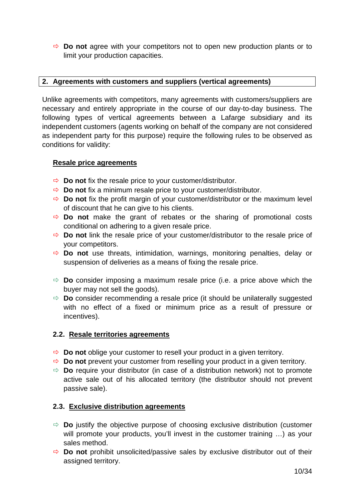**Do not** agree with your competitors not to open new production plants or to limit your production capacities.

# **2. Agreements with customers and suppliers (vertical agreements)**

Unlike agreements with competitors, many agreements with customers/suppliers are necessary and entirely appropriate in the course of our day-to-day business. The following types of vertical agreements between a Lafarge subsidiary and its independent customers (agents working on behalf of the company are not considered as independent party for this purpose) require the following rules to be observed as conditions for validity:

### **Resale price agreements**

- $\Rightarrow$  **Do not** fix the resale price to your customer/distributor.
- **Do not** fix a minimum resale price to your customer/distributor.
- $\Rightarrow$  **Do not** fix the profit margin of your customer/distributor or the maximum level of discount that he can give to his clients.
- $\Rightarrow$  **Do not** make the grant of rebates or the sharing of promotional costs conditional on adhering to a given resale price.
- **Do not** link the resale price of your customer/distributor to the resale price of your competitors.
- **Do not** use threats, intimidation, warnings, monitoring penalties, delay or suspension of deliveries as a means of fixing the resale price.
- $\Rightarrow$  **Do** consider imposing a maximum resale price (i.e. a price above which the buyer may not sell the goods).
- $\Rightarrow$  **Do** consider recommending a resale price (it should be unilaterally suggested with no effect of a fixed or minimum price as a result of pressure or incentives).

# **2.2. Resale territories agreements**

- $\Rightarrow$  **Do not** oblige your customer to resell your product in a given territory.
- **Do not** prevent your customer from reselling your product in a given territory.
- $\Rightarrow$  **Do** require your distributor (in case of a distribution network) not to promote active sale out of his allocated territory (the distributor should not prevent passive sale).

# **2.3. Exclusive distribution agreements**

- $\Rightarrow$  **Do** justify the objective purpose of choosing exclusive distribution (customer will promote your products, you'll invest in the customer training ...) as your sales method.
- $\Rightarrow$  **Do not** prohibit unsolicited/passive sales by exclusive distributor out of their assigned territory.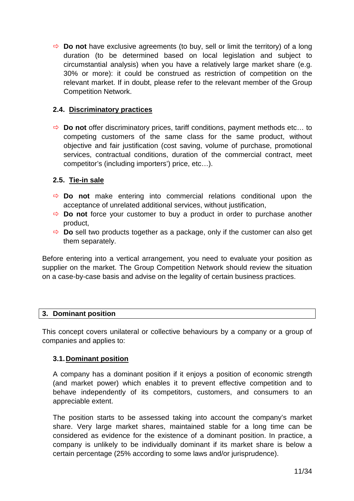$\Rightarrow$  **Do not** have exclusive agreements (to buy, sell or limit the territory) of a long duration (to be determined based on local legislation and subject to circumstantial analysis) when you have a relatively large market share (e.g. 30% or more): it could be construed as restriction of competition on the relevant market. If in doubt, please refer to the relevant member of the Group Competition Network.

# **2.4. Discriminatory practices**

 **Do not** offer discriminatory prices, tariff conditions, payment methods etc… to competing customers of the same class for the same product, without objective and fair justification (cost saving, volume of purchase, promotional services, contractual conditions, duration of the commercial contract, meet competitor's (including importers') price, etc…).

# **2.5. Tie-in sale**

- $\Rightarrow$  **Do not** make entering into commercial relations conditional upon the acceptance of unrelated additional services, without justification,
- $\Rightarrow$  **Do not** force your customer to buy a product in order to purchase another product,
- $\Rightarrow$  **Do** sell two products together as a package, only if the customer can also get them separately.

Before entering into a vertical arrangement, you need to evaluate your position as supplier on the market. The Group Competition Network should review the situation on a case-by-case basis and advise on the legality of certain business practices.

### **3. Dominant position**

This concept covers unilateral or collective behaviours by a company or a group of companies and applies to:

### **3.1. Dominant position**

A company has a dominant position if it enjoys a position of economic strength (and market power) which enables it to prevent effective competition and to behave independently of its competitors, customers, and consumers to an appreciable extent.

The position starts to be assessed taking into account the company's market share. Very large market shares, maintained stable for a long time can be considered as evidence for the existence of a dominant position. In practice, a company is unlikely to be individually dominant if its market share is below a certain percentage (25% according to some laws and/or jurisprudence).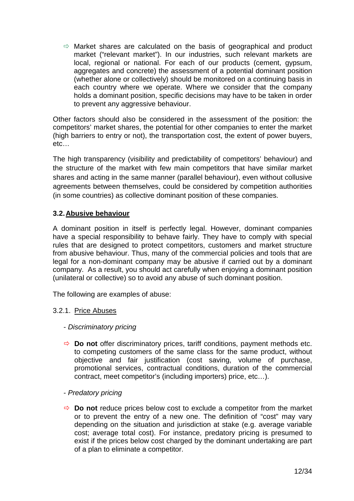$\Rightarrow$  Market shares are calculated on the basis of geographical and product market ("relevant market"). In our industries, such relevant markets are local, regional or national. For each of our products (cement, gypsum, aggregates and concrete) the assessment of a potential dominant position (whether alone or collectively) should be monitored on a continuing basis in each country where we operate. Where we consider that the company holds a dominant position, specific decisions may have to be taken in order to prevent any aggressive behaviour.

Other factors should also be considered in the assessment of the position: the competitors' market shares, the potential for other companies to enter the market (high barriers to entry or not), the transportation cost, the extent of power buyers, etc…

The high transparency (visibility and predictability of competitors' behaviour) and the structure of the market with few main competitors that have similar market shares and acting in the same manner (parallel behaviour), even without collusive agreements between themselves, could be considered by competition authorities (in some countries) as collective dominant position of these companies.

# **3.2. Abusive behaviour**

A dominant position in itself is perfectly legal. However, dominant companies have a special responsibility to behave fairly. They have to comply with special rules that are designed to protect competitors, customers and market structure from abusive behaviour. Thus, many of the commercial policies and tools that are legal for a non-dominant company may be abusive if carried out by a dominant company. As a result, you should act carefully when enjoying a dominant position (unilateral or collective) so to avoid any abuse of such dominant position.

The following are examples of abuse:

# 3.2.1. Price Abuses

# - Discriminatory pricing

- **Do not** offer discriminatory prices, tariff conditions, payment methods etc. to competing customers of the same class for the same product, without objective and fair justification (cost saving, volume of purchase, promotional services, contractual conditions, duration of the commercial contract, meet competitor's (including importers) price, etc…).
- Predatory pricing
- $\Rightarrow$  **Do not** reduce prices below cost to exclude a competitor from the market or to prevent the entry of a new one. The definition of "cost" may vary depending on the situation and jurisdiction at stake (e.g. average variable cost; average total cost). For instance, predatory pricing is presumed to exist if the prices below cost charged by the dominant undertaking are part of a plan to eliminate a competitor.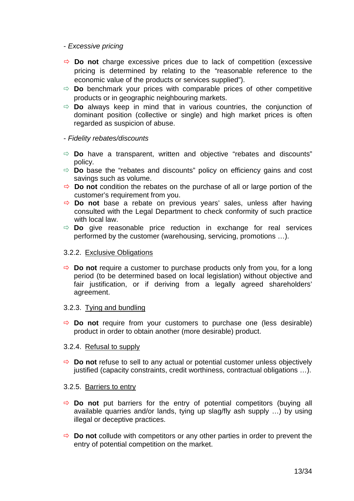### - Excessive pricing

- $\Rightarrow$  **Do not** charge excessive prices due to lack of competition (excessive pricing is determined by relating to the "reasonable reference to the economic value of the products or services supplied").
- $\Rightarrow$  **Do** benchmark your prices with comparable prices of other competitive products or in geographic neighbouring markets.
- $\Rightarrow$  **Do** always keep in mind that in various countries, the conjunction of dominant position (collective or single) and high market prices is often regarded as suspicion of abuse.

#### - Fidelity rebates/discounts

- $\Rightarrow$  **Do** have a transparent, written and objective "rebates and discounts" policy.
- **Do** base the "rebates and discounts" policy on efficiency gains and cost savings such as volume.
- $\Rightarrow$  **Do not** condition the rebates on the purchase of all or large portion of the customer's requirement from you.
- **Do not** base a rebate on previous years' sales, unless after having consulted with the Legal Department to check conformity of such practice with local law.
- **Do** give reasonable price reduction in exchange for real services performed by the customer (warehousing, servicing, promotions …).

#### 3.2.2. Exclusive Obligations

 $\Rightarrow$  **Do not** require a customer to purchase products only from you, for a long period (to be determined based on local legislation) without objective and fair justification, or if deriving from a legally agreed shareholders' agreement.

#### 3.2.3. Tying and bundling

 $\Rightarrow$  **Do not** require from your customers to purchase one (less desirable) product in order to obtain another (more desirable) product.

#### 3.2.4. Refusal to supply

 $\Rightarrow$  **Do not** refuse to sell to any actual or potential customer unless objectively justified (capacity constraints, credit worthiness, contractual obligations ...).

#### 3.2.5. Barriers to entry

- $\Rightarrow$  **Do not** put barriers for the entry of potential competitors (buying all available quarries and/or lands, tying up slag/fly ash supply …) by using illegal or deceptive practices.
- $\Rightarrow$  **Do not** collude with competitors or any other parties in order to prevent the entry of potential competition on the market.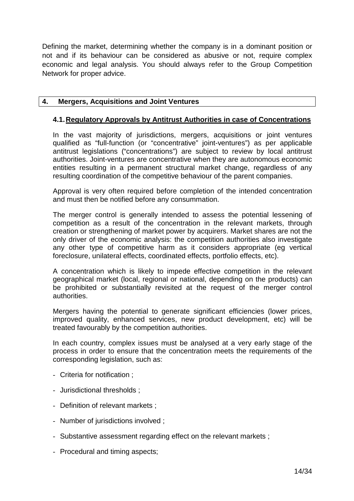Defining the market, determining whether the company is in a dominant position or not and if its behaviour can be considered as abusive or not, require complex economic and legal analysis. You should always refer to the Group Competition Network for proper advice.

# **4. Mergers, Acquisitions and Joint Ventures**

# **4.1. Regulatory Approvals by Antitrust Authorities in case of Concentrations**

In the vast majority of jurisdictions, mergers, acquisitions or joint ventures qualified as "full-function (or "concentrative" joint-ventures") as per applicable antitrust legislations ("concentrations") are subject to review by local antitrust authorities. Joint-ventures are concentrative when they are autonomous economic entities resulting in a permanent structural market change, regardless of any resulting coordination of the competitive behaviour of the parent companies.

Approval is very often required before completion of the intended concentration and must then be notified before any consummation.

The merger control is generally intended to assess the potential lessening of competition as a result of the concentration in the relevant markets, through creation or strengthening of market power by acquirers. Market shares are not the only driver of the economic analysis: the competition authorities also investigate any other type of competitive harm as it considers appropriate (eg vertical foreclosure, unilateral effects, coordinated effects, portfolio effects, etc).

A concentration which is likely to impede effective competition in the relevant geographical market (local, regional or national, depending on the products) can be prohibited or substantially revisited at the request of the merger control authorities.

Mergers having the potential to generate significant efficiencies (lower prices, improved quality, enhanced services, new product development, etc) will be treated favourably by the competition authorities.

In each country, complex issues must be analysed at a very early stage of the process in order to ensure that the concentration meets the requirements of the corresponding legislation, such as:

- Criteria for notification ;
- Jurisdictional thresholds ;
- Definition of relevant markets ;
- Number of jurisdictions involved ;
- Substantive assessment regarding effect on the relevant markets ;
- Procedural and timing aspects;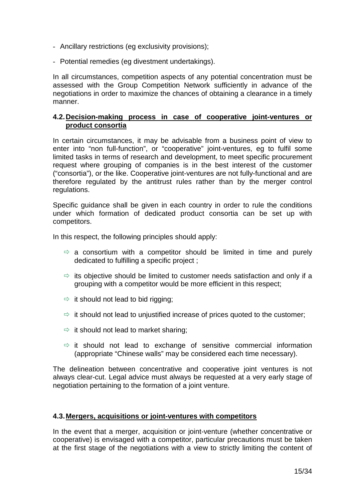- Ancillary restrictions (eg exclusivity provisions);
- Potential remedies (eg divestment undertakings).

In all circumstances, competition aspects of any potential concentration must be assessed with the Group Competition Network sufficiently in advance of the negotiations in order to maximize the chances of obtaining a clearance in a timely manner.

### **4.2. Decision-making process in case of cooperative joint-ventures or product consortia**

In certain circumstances, it may be advisable from a business point of view to enter into "non full-function", or "cooperative" joint-ventures, eg to fulfil some limited tasks in terms of research and development, to meet specific procurement request where grouping of companies is in the best interest of the customer ("consortia"), or the like. Cooperative joint-ventures are not fully-functional and are therefore regulated by the antitrust rules rather than by the merger control regulations.

Specific guidance shall be given in each country in order to rule the conditions under which formation of dedicated product consortia can be set up with competitors.

In this respect, the following principles should apply:

- $\Rightarrow$  a consortium with a competitor should be limited in time and purely dedicated to fulfilling a specific project ;
- $\Rightarrow$  its objective should be limited to customer needs satisfaction and only if a grouping with a competitor would be more efficient in this respect;
- $\Rightarrow$  it should not lead to bid rigging;
- $\Rightarrow$  it should not lead to unjustified increase of prices quoted to the customer;
- $\Rightarrow$  it should not lead to market sharing;
- $\Rightarrow$  it should not lead to exchange of sensitive commercial information (appropriate "Chinese walls" may be considered each time necessary).

The delineation between concentrative and cooperative joint ventures is not always clear-cut. Legal advice must always be requested at a very early stage of negotiation pertaining to the formation of a joint venture.

### **4.3. Mergers, acquisitions or joint-ventures with competitors**

In the event that a merger, acquisition or joint-venture (whether concentrative or cooperative) is envisaged with a competitor, particular precautions must be taken at the first stage of the negotiations with a view to strictly limiting the content of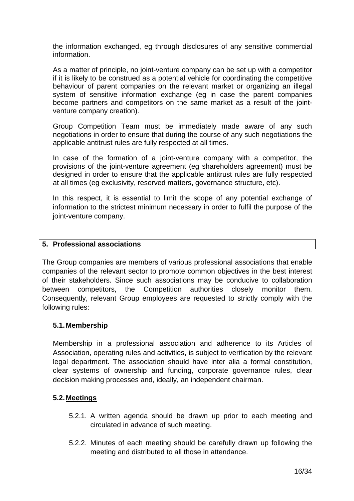the information exchanged, eg through disclosures of any sensitive commercial information.

As a matter of principle, no joint-venture company can be set up with a competitor if it is likely to be construed as a potential vehicle for coordinating the competitive behaviour of parent companies on the relevant market or organizing an illegal system of sensitive information exchange (eg in case the parent companies become partners and competitors on the same market as a result of the jointventure company creation).

Group Competition Team must be immediately made aware of any such negotiations in order to ensure that during the course of any such negotiations the applicable antitrust rules are fully respected at all times.

In case of the formation of a joint-venture company with a competitor, the provisions of the joint-venture agreement (eg shareholders agreement) must be designed in order to ensure that the applicable antitrust rules are fully respected at all times (eg exclusivity, reserved matters, governance structure, etc).

In this respect, it is essential to limit the scope of any potential exchange of information to the strictest minimum necessary in order to fulfil the purpose of the joint-venture company.

### **5. Professional associations**

The Group companies are members of various professional associations that enable companies of the relevant sector to promote common objectives in the best interest of their stakeholders. Since such associations may be conducive to collaboration between competitors, the Competition authorities closely monitor them. Consequently, relevant Group employees are requested to strictly comply with the following rules:

# **5.1. Membership**

Membership in a professional association and adherence to its Articles of Association, operating rules and activities, is subject to verification by the relevant legal department. The association should have inter alia a formal constitution, clear systems of ownership and funding, corporate governance rules, clear decision making processes and, ideally, an independent chairman.

# **5.2. Meetings**

- 5.2.1. A written agenda should be drawn up prior to each meeting and circulated in advance of such meeting.
- 5.2.2. Minutes of each meeting should be carefully drawn up following the meeting and distributed to all those in attendance.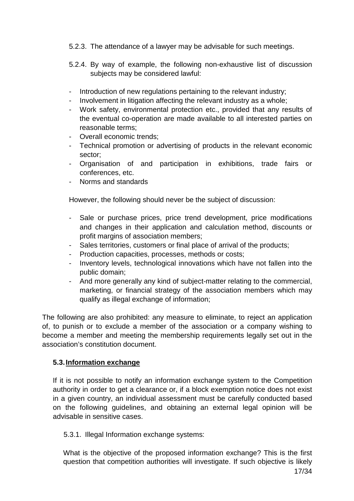- 5.2.3. The attendance of a lawyer may be advisable for such meetings.
- 5.2.4. By way of example, the following non-exhaustive list of discussion subjects may be considered lawful:
- Introduction of new regulations pertaining to the relevant industry;
- Involvement in litigation affecting the relevant industry as a whole;
- Work safety, environmental protection etc., provided that any results of the eventual co-operation are made available to all interested parties on reasonable terms;
- Overall economic trends;
- Technical promotion or advertising of products in the relevant economic sector;
- Organisation of and participation in exhibitions, trade fairs or conferences, etc.
- Norms and standards

However, the following should never be the subject of discussion:

- Sale or purchase prices, price trend development, price modifications and changes in their application and calculation method, discounts or profit margins of association members;
- Sales territories, customers or final place of arrival of the products;
- Production capacities, processes, methods or costs;
- Inventory levels, technological innovations which have not fallen into the public domain;
- And more generally any kind of subject-matter relating to the commercial, marketing, or financial strategy of the association members which may qualify as illegal exchange of information;

The following are also prohibited: any measure to eliminate, to reject an application of, to punish or to exclude a member of the association or a company wishing to become a member and meeting the membership requirements legally set out in the association's constitution document.

# **5.3. Information exchange**

If it is not possible to notify an information exchange system to the Competition authority in order to get a clearance or, if a block exemption notice does not exist in a given country, an individual assessment must be carefully conducted based on the following guidelines, and obtaining an external legal opinion will be advisable in sensitive cases.

# 5.3.1. Illegal Information exchange systems:

What is the objective of the proposed information exchange? This is the first question that competition authorities will investigate. If such objective is likely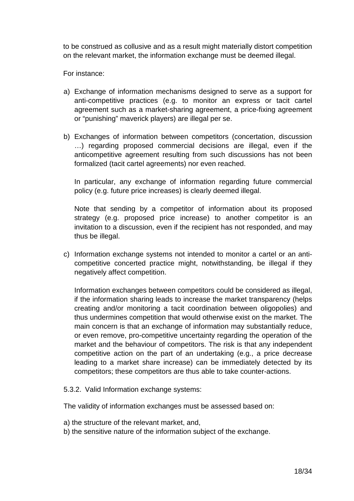to be construed as collusive and as a result might materially distort competition on the relevant market, the information exchange must be deemed illegal.

For instance:

- a) Exchange of information mechanisms designed to serve as a support for anti-competitive practices (e.g. to monitor an express or tacit cartel agreement such as a market-sharing agreement, a price-fixing agreement or "punishing" maverick players) are illegal per se.
- b) Exchanges of information between competitors (concertation, discussion …) regarding proposed commercial decisions are illegal, even if the anticompetitive agreement resulting from such discussions has not been formalized (tacit cartel agreements) nor even reached.

In particular, any exchange of information regarding future commercial policy (e.g. future price increases) is clearly deemed illegal.

Note that sending by a competitor of information about its proposed strategy (e.g. proposed price increase) to another competitor is an invitation to a discussion, even if the recipient has not responded, and may thus be illegal.

c) Information exchange systems not intended to monitor a cartel or an anticompetitive concerted practice might, notwithstanding, be illegal if they negatively affect competition.

Information exchanges between competitors could be considered as illegal, if the information sharing leads to increase the market transparency (helps creating and/or monitoring a tacit coordination between oligopolies) and thus undermines competition that would otherwise exist on the market. The main concern is that an exchange of information may substantially reduce, or even remove, pro-competitive uncertainty regarding the operation of the market and the behaviour of competitors. The risk is that any independent competitive action on the part of an undertaking (e.g., a price decrease leading to a market share increase) can be immediately detected by its competitors; these competitors are thus able to take counter-actions.

5.3.2. Valid Information exchange systems:

The validity of information exchanges must be assessed based on:

- a) the structure of the relevant market, and,
- b) the sensitive nature of the information subject of the exchange.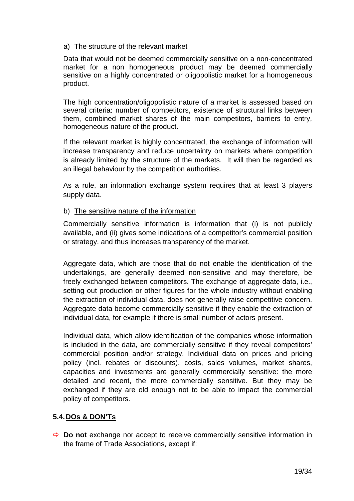# a) The structure of the relevant market

Data that would not be deemed commercially sensitive on a non-concentrated market for a non homogeneous product may be deemed commercially sensitive on a highly concentrated or oligopolistic market for a homogeneous product.

The high concentration/oligopolistic nature of a market is assessed based on several criteria: number of competitors, existence of structural links between them, combined market shares of the main competitors, barriers to entry, homogeneous nature of the product.

If the relevant market is highly concentrated, the exchange of information will increase transparency and reduce uncertainty on markets where competition is already limited by the structure of the markets. It will then be regarded as an illegal behaviour by the competition authorities.

As a rule, an information exchange system requires that at least 3 players supply data.

# b) The sensitive nature of the information

Commercially sensitive information is information that (i) is not publicly available, and (ii) gives some indications of a competitor's commercial position or strategy, and thus increases transparency of the market.

Aggregate data, which are those that do not enable the identification of the undertakings, are generally deemed non-sensitive and may therefore, be freely exchanged between competitors. The exchange of aggregate data, i.e., setting out production or other figures for the whole industry without enabling the extraction of individual data, does not generally raise competitive concern. Aggregate data become commercially sensitive if they enable the extraction of individual data, for example if there is small number of actors present.

Individual data, which allow identification of the companies whose information is included in the data, are commercially sensitive if they reveal competitors' commercial position and/or strategy. Individual data on prices and pricing policy (incl. rebates or discounts), costs, sales volumes, market shares, capacities and investments are generally commercially sensitive: the more detailed and recent, the more commercially sensitive. But they may be exchanged if they are old enough not to be able to impact the commercial policy of competitors.

# **5.4. DOs & DON'Ts**

 **Do not** exchange nor accept to receive commercially sensitive information in the frame of Trade Associations, except if: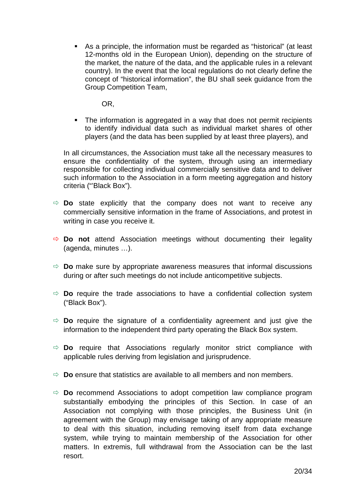**As a principle, the information must be regarded as "historical" (at least** 12-months old in the European Union), depending on the structure of the market, the nature of the data, and the applicable rules in a relevant country). In the event that the local regulations do not clearly define the concept of "historical information", the BU shall seek guidance from the Group Competition Team,

OR,

- The information is aggregated in a way that does not permit recipients to identify individual data such as individual market shares of other players (and the data has been supplied by at least three players), and

In all circumstances, the Association must take all the necessary measures to ensure the confidentiality of the system, through using an intermediary responsible for collecting individual commercially sensitive data and to deliver such information to the Association in a form meeting aggregation and history criteria ("Black Box").

- $\Rightarrow$  **Do** state explicitly that the company does not want to receive any commercially sensitive information in the frame of Associations, and protest in writing in case you receive it.
- $\Rightarrow$  **Do not** attend Association meetings without documenting their legality (agenda, minutes …).
- $\Rightarrow$  **Do** make sure by appropriate awareness measures that informal discussions during or after such meetings do not include anticompetitive subjects.
- $\Rightarrow$  **Do** require the trade associations to have a confidential collection system ("Black Box").
- $\Rightarrow$  **Do** require the signature of a confidentiality agreement and just give the information to the independent third party operating the Black Box system.
- $\Rightarrow$  **Do** require that Associations regularly monitor strict compliance with applicable rules deriving from legislation and jurisprudence.
- $\Rightarrow$  **Do** ensure that statistics are available to all members and non members.
- $\Rightarrow$  **Do** recommend Associations to adopt competition law compliance program substantially embodying the principles of this Section. In case of an Association not complying with those principles, the Business Unit (in agreement with the Group) may envisage taking of any appropriate measure to deal with this situation, including removing itself from data exchange system, while trying to maintain membership of the Association for other matters. In extremis, full withdrawal from the Association can be the last resort.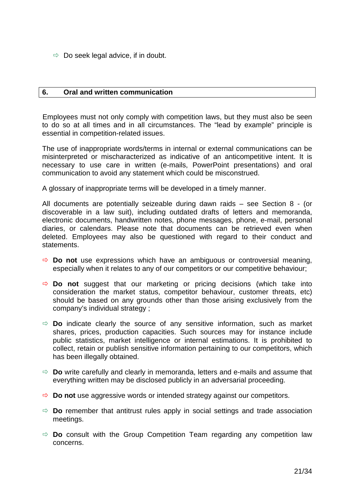$\Rightarrow$  Do seek legal advice, if in doubt.

### **6. Oral and written communication**

Employees must not only comply with competition laws, but they must also be seen to do so at all times and in all circumstances. The "lead by example" principle is essential in competition-related issues.

The use of inappropriate words/terms in internal or external communications can be misinterpreted or mischaracterized as indicative of an anticompetitive intent. It is necessary to use care in written (e-mails, PowerPoint presentations) and oral communication to avoid any statement which could be misconstrued.

A glossary of inappropriate terms will be developed in a timely manner.

All documents are potentially seizeable during dawn raids – see Section 8 - (or discoverable in a law suit), including outdated drafts of letters and memoranda, electronic documents, handwritten notes, phone messages, phone, e-mail, personal diaries, or calendars. Please note that documents can be retrieved even when deleted. Employees may also be questioned with regard to their conduct and statements.

- **Do not** use expressions which have an ambiguous or controversial meaning, especially when it relates to any of our competitors or our competitive behaviour;
- $\Rightarrow$  **Do not** suggest that our marketing or pricing decisions (which take into consideration the market status, competitor behaviour, customer threats, etc) should be based on any grounds other than those arising exclusively from the company's individual strategy ;
- $\Rightarrow$  **Do** indicate clearly the source of any sensitive information, such as market shares, prices, production capacities. Such sources may for instance include public statistics, market intelligence or internal estimations. It is prohibited to collect, retain or publish sensitive information pertaining to our competitors, which has been illegally obtained.
- **Do** write carefully and clearly in memoranda, letters and e-mails and assume that everything written may be disclosed publicly in an adversarial proceeding.
- **Do not** use aggressive words or intended strategy against our competitors.
- $\Rightarrow$  **Do** remember that antitrust rules apply in social settings and trade association meetings.
- $\Rightarrow$  **Do** consult with the Group Competition Team regarding any competition law concerns.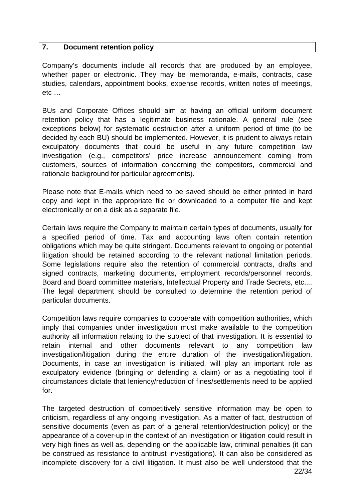#### **7. Document retention policy**

Company's documents include all records that are produced by an employee, whether paper or electronic. They may be memoranda, e-mails, contracts, case studies, calendars, appointment books, expense records, written notes of meetings, etc …

BUs and Corporate Offices should aim at having an official uniform document retention policy that has a legitimate business rationale. A general rule (see exceptions below) for systematic destruction after a uniform period of time (to be decided by each BU) should be implemented. However, it is prudent to always retain exculpatory documents that could be useful in any future competition law investigation (e.g., competitors' price increase announcement coming from customers, sources of information concerning the competitors, commercial and rationale background for particular agreements).

Please note that E-mails which need to be saved should be either printed in hard copy and kept in the appropriate file or downloaded to a computer file and kept electronically or on a disk as a separate file.

Certain laws require the Company to maintain certain types of documents, usually for a specified period of time. Tax and accounting laws often contain retention obligations which may be quite stringent. Documents relevant to ongoing or potential litigation should be retained according to the relevant national limitation periods. Some legislations require also the retention of commercial contracts, drafts and signed contracts, marketing documents, employment records/personnel records, Board and Board committee materials, Intellectual Property and Trade Secrets, etc.... The legal department should be consulted to determine the retention period of particular documents.

Competition laws require companies to cooperate with competition authorities, which imply that companies under investigation must make available to the competition authority all information relating to the subject of that investigation. It is essential to retain internal and other documents relevant to any competition law investigation/litigation during the entire duration of the investigation/litigation. Documents, in case an investigation is initiated, will play an important role as exculpatory evidence (bringing or defending a claim) or as a negotiating tool if circumstances dictate that leniency/reduction of fines/settlements need to be applied for.

22/34 The targeted destruction of competitively sensitive information may be open to criticism, regardless of any ongoing investigation. As a matter of fact, destruction of sensitive documents (even as part of a general retention/destruction policy) or the appearance of a cover-up in the context of an investigation or litigation could result in very high fines as well as, depending on the applicable law, criminal penalties (it can be construed as resistance to antitrust investigations). It can also be considered as incomplete discovery for a civil litigation. It must also be well understood that the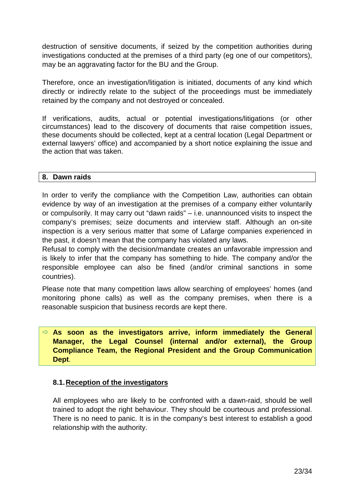destruction of sensitive documents, if seized by the competition authorities during investigations conducted at the premises of a third party (eg one of our competitors), may be an aggravating factor for the BU and the Group.

Therefore, once an investigation/litigation is initiated, documents of any kind which directly or indirectly relate to the subject of the proceedings must be immediately retained by the company and not destroyed or concealed.

If verifications, audits, actual or potential investigations/litigations (or other circumstances) lead to the discovery of documents that raise competition issues, these documents should be collected, kept at a central location (Legal Department or external lawyers' office) and accompanied by a short notice explaining the issue and the action that was taken.

# **8. Dawn raids**

In order to verify the compliance with the Competition Law, authorities can obtain evidence by way of an investigation at the premises of a company either voluntarily or compulsorily. It may carry out "dawn raids" – i.e. unannounced visits to inspect the company's premises; seize documents and interview staff. Although an on-site inspection is a very serious matter that some of Lafarge companies experienced in the past, it doesn't mean that the company has violated any laws.

Refusal to comply with the decision/mandate creates an unfavorable impression and is likely to infer that the company has something to hide. The company and/or the responsible employee can also be fined (and/or criminal sanctions in some countries).

Please note that many competition laws allow searching of employees' homes (and monitoring phone calls) as well as the company premises, when there is a reasonable suspicion that business records are kept there.

 **As soon as the investigators arrive, inform immediately the General Manager, the Legal Counsel (internal and/or external), the Group Compliance Team, the Regional President and the Group Communication Dept**.

### **8.1. Reception of the investigators**

All employees who are likely to be confronted with a dawn-raid, should be well trained to adopt the right behaviour. They should be courteous and professional. There is no need to panic. It is in the company's best interest to establish a good relationship with the authority.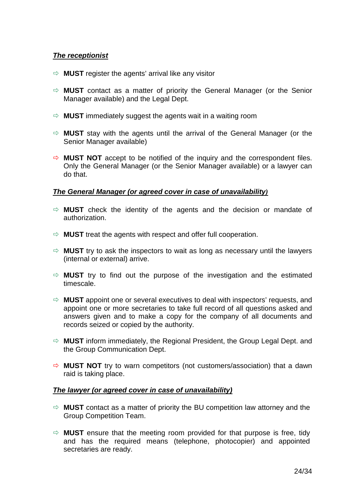### **The receptionist**

- $\Rightarrow$  **MUST** register the agents' arrival like any visitor
- **MUST** contact as a matter of priority the General Manager (or the Senior Manager available) and the Legal Dept.
- $\Rightarrow$  **MUST** immediately suggest the agents wait in a waiting room
- $\Rightarrow$  **MUST** stay with the agents until the arrival of the General Manager (or the Senior Manager available)
- $\Rightarrow$  **MUST NOT** accept to be notified of the inquiry and the correspondent files. Only the General Manager (or the Senior Manager available) or a lawyer can do that.

### **The General Manager (or agreed cover in case of unavailability***)*

- $\Rightarrow$  **MUST** check the identity of the agents and the decision or mandate of authorization.
- $\Rightarrow$  **MUST** treat the agents with respect and offer full cooperation.
- $\Rightarrow$  **MUST** try to ask the inspectors to wait as long as necessary until the lawyers (internal or external) arrive.
- $\Rightarrow$  **MUST** try to find out the purpose of the investigation and the estimated timescale.
- $\Rightarrow$  **MUST** appoint one or several executives to deal with inspectors' requests, and appoint one or more secretaries to take full record of all questions asked and answers given and to make a copy for the company of all documents and records seized or copied by the authority.
- **MUST** inform immediately, the Regional President, the Group Legal Dept. and the Group Communication Dept.
- $\Rightarrow$  **MUST NOT** try to warn competitors (not customers/association) that a dawn raid is taking place.

### **The lawyer (or agreed cover in case of unavailability)**

- $\Rightarrow$  **MUST** contact as a matter of priority the BU competition law attorney and the Group Competition Team.
- $\Rightarrow$  **MUST** ensure that the meeting room provided for that purpose is free, tidy and has the required means (telephone, photocopier) and appointed secretaries are ready.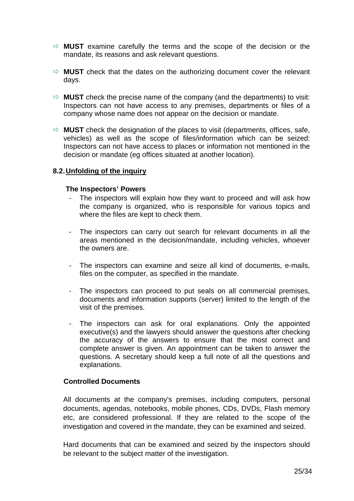- $\Rightarrow$  **MUST** examine carefully the terms and the scope of the decision or the mandate, its reasons and ask relevant questions.
- $\Rightarrow$  **MUST** check that the dates on the authorizing document cover the relevant days.
- $\Rightarrow$  **MUST** check the precise name of the company (and the departments) to visit: Inspectors can not have access to any premises, departments or files of a company whose name does not appear on the decision or mandate.
- $\Rightarrow$  **MUST** check the designation of the places to visit (departments, offices, safe, vehicles) as well as the scope of files/information which can be seized: Inspectors can not have access to places or information not mentioned in the decision or mandate (eg offices situated at another location).

#### **8.2. Unfolding of the inquiry**

#### **The Inspectors' Powers**

- The inspectors will explain how they want to proceed and will ask how the company is organized, who is responsible for various topics and where the files are kept to check them.
- The inspectors can carry out search for relevant documents in all the areas mentioned in the decision/mandate, including vehicles, whoever the owners are.
- The inspectors can examine and seize all kind of documents, e-mails, files on the computer, as specified in the mandate.
- The inspectors can proceed to put seals on all commercial premises, documents and information supports (server) limited to the length of the visit of the premises.
- The inspectors can ask for oral explanations. Only the appointed executive(s) and the lawyers should answer the questions after checking the accuracy of the answers to ensure that the most correct and complete answer is given. An appointment can be taken to answer the questions. A secretary should keep a full note of all the questions and explanations.

#### **Controlled Documents**

All documents at the company's premises, including computers, personal documents, agendas, notebooks, mobile phones, CDs, DVDs, Flash memory etc, are considered professional. If they are related to the scope of the investigation and covered in the mandate, they can be examined and seized.

Hard documents that can be examined and seized by the inspectors should be relevant to the subject matter of the investigation.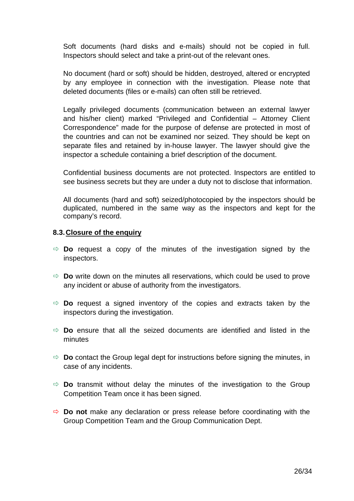Soft documents (hard disks and e-mails) should not be copied in full. Inspectors should select and take a print-out of the relevant ones.

No document (hard or soft) should be hidden, destroyed, altered or encrypted by any employee in connection with the investigation. Please note that deleted documents (files or e-mails) can often still be retrieved.

Legally privileged documents (communication between an external lawyer and his/her client) marked "Privileged and Confidential – Attorney Client Correspondence" made for the purpose of defense are protected in most of the countries and can not be examined nor seized. They should be kept on separate files and retained by in-house lawyer. The lawyer should give the inspector a schedule containing a brief description of the document.

Confidential business documents are not protected. Inspectors are entitled to see business secrets but they are under a duty not to disclose that information.

All documents (hard and soft) seized/photocopied by the inspectors should be duplicated, numbered in the same way as the inspectors and kept for the company's record.

### **8.3. Closure of the enquiry**

- $\Rightarrow$  **Do** request a copy of the minutes of the investigation signed by the inspectors.
- $\Rightarrow$  **Do** write down on the minutes all reservations, which could be used to prove any incident or abuse of authority from the investigators.
- $\Rightarrow$  **Do** request a signed inventory of the copies and extracts taken by the inspectors during the investigation.
- $\Rightarrow$  **Do** ensure that all the seized documents are identified and listed in the minutes
- $\Rightarrow$  **Do** contact the Group legal dept for instructions before signing the minutes, in case of any incidents.
- $\Rightarrow$  **Do** transmit without delay the minutes of the investigation to the Group Competition Team once it has been signed.
- $\Rightarrow$  **Do not** make any declaration or press release before coordinating with the Group Competition Team and the Group Communication Dept.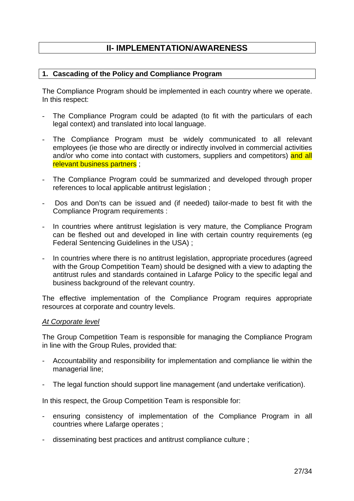# **II- IMPLEMENTATION/AWARENESS**

### **1. Cascading of the Policy and Compliance Program**

The Compliance Program should be implemented in each country where we operate. In this respect:

- The Compliance Program could be adapted (to fit with the particulars of each legal context) and translated into local language.
- The Compliance Program must be widely communicated to all relevant employees (ie those who are directly or indirectly involved in commercial activities and/or who come into contact with customers, suppliers and competitors) and all relevant business partners ;
- The Compliance Program could be summarized and developed through proper references to local applicable antitrust legislation ;
- Dos and Don'ts can be issued and (if needed) tailor-made to best fit with the Compliance Program requirements :
- In countries where antitrust legislation is very mature, the Compliance Program can be fleshed out and developed in line with certain country requirements (eg Federal Sentencing Guidelines in the USA) ;
- In countries where there is no antitrust legislation, appropriate procedures (agreed with the Group Competition Team) should be designed with a view to adapting the antitrust rules and standards contained in Lafarge Policy to the specific legal and business background of the relevant country.

The effective implementation of the Compliance Program requires appropriate resources at corporate and country levels.

#### At Corporate level

The Group Competition Team is responsible for managing the Compliance Program in line with the Group Rules, provided that:

- Accountability and responsibility for implementation and compliance lie within the managerial line;
- The legal function should support line management (and undertake verification).

In this respect, the Group Competition Team is responsible for:

- ensuring consistency of implementation of the Compliance Program in all countries where Lafarge operates ;
- disseminating best practices and antitrust compliance culture ;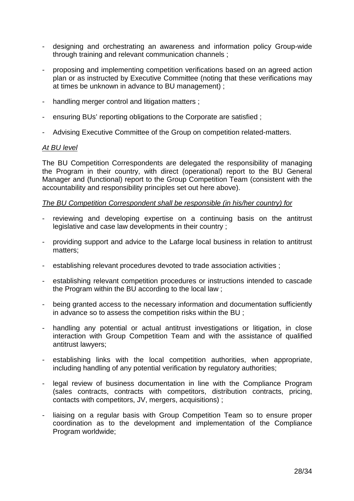- designing and orchestrating an awareness and information policy Group-wide through training and relevant communication channels ;
- proposing and implementing competition verifications based on an agreed action plan or as instructed by Executive Committee (noting that these verifications may at times be unknown in advance to BU management) ;
- handling merger control and litigation matters :
- ensuring BUs' reporting obligations to the Corporate are satisfied ;
- Advising Executive Committee of the Group on competition related-matters.

### At BU level

The BU Competition Correspondents are delegated the responsibility of managing the Program in their country, with direct (operational) report to the BU General Manager and (functional) report to the Group Competition Team (consistent with the accountability and responsibility principles set out here above).

### The BU Competition Correspondent shall be responsible (in his/her country) for

- reviewing and developing expertise on a continuing basis on the antitrust legislative and case law developments in their country ;
- providing support and advice to the Lafarge local business in relation to antitrust matters;
- establishing relevant procedures devoted to trade association activities ;
- establishing relevant competition procedures or instructions intended to cascade the Program within the BU according to the local law ;
- being granted access to the necessary information and documentation sufficiently in advance so to assess the competition risks within the BU ;
- handling any potential or actual antitrust investigations or litigation, in close interaction with Group Competition Team and with the assistance of qualified antitrust lawyers;
- establishing links with the local competition authorities, when appropriate, including handling of any potential verification by regulatory authorities;
- legal review of business documentation in line with the Compliance Program (sales contracts, contracts with competitors, distribution contracts, pricing, contacts with competitors, JV, mergers, acquisitions) ;
- liaising on a regular basis with Group Competition Team so to ensure proper coordination as to the development and implementation of the Compliance Program worldwide;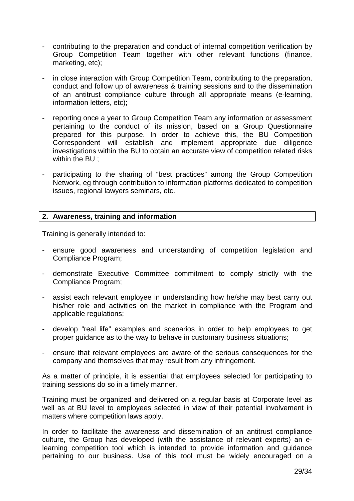- contributing to the preparation and conduct of internal competition verification by Group Competition Team together with other relevant functions (finance, marketing, etc);
- in close interaction with Group Competition Team, contributing to the preparation, conduct and follow up of awareness & training sessions and to the dissemination of an antitrust compliance culture through all appropriate means (e-learning, information letters, etc);
- reporting once a year to Group Competition Team any information or assessment pertaining to the conduct of its mission, based on a Group Questionnaire prepared for this purpose. In order to achieve this, the BU Competition Correspondent will establish and implement appropriate due diligence investigations within the BU to obtain an accurate view of competition related risks within the BU ;
- participating to the sharing of "best practices" among the Group Competition Network, eg through contribution to information platforms dedicated to competition issues, regional lawyers seminars, etc.

### **2. Awareness, training and information**

Training is generally intended to:

- ensure good awareness and understanding of competition legislation and Compliance Program;
- demonstrate Executive Committee commitment to comply strictly with the Compliance Program;
- assist each relevant employee in understanding how he/she may best carry out his/her role and activities on the market in compliance with the Program and applicable regulations;
- develop "real life" examples and scenarios in order to help employees to get proper guidance as to the way to behave in customary business situations;
- ensure that relevant employees are aware of the serious consequences for the company and themselves that may result from any infringement.

As a matter of principle, it is essential that employees selected for participating to training sessions do so in a timely manner.

Training must be organized and delivered on a regular basis at Corporate level as well as at BU level to employees selected in view of their potential involvement in matters where competition laws apply.

In order to facilitate the awareness and dissemination of an antitrust compliance culture, the Group has developed (with the assistance of relevant experts) an elearning competition tool which is intended to provide information and guidance pertaining to our business. Use of this tool must be widely encouraged on a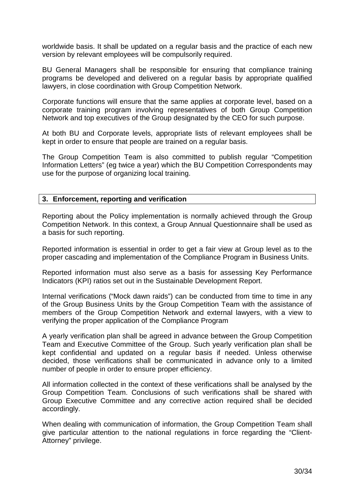worldwide basis. It shall be updated on a regular basis and the practice of each new version by relevant employees will be compulsorily required.

BU General Managers shall be responsible for ensuring that compliance training programs be developed and delivered on a regular basis by appropriate qualified lawyers, in close coordination with Group Competition Network.

Corporate functions will ensure that the same applies at corporate level, based on a corporate training program involving representatives of both Group Competition Network and top executives of the Group designated by the CEO for such purpose.

At both BU and Corporate levels, appropriate lists of relevant employees shall be kept in order to ensure that people are trained on a regular basis.

The Group Competition Team is also committed to publish regular "Competition Information Letters" (eg twice a year) which the BU Competition Correspondents may use for the purpose of organizing local training.

### **3. Enforcement, reporting and verification**

Reporting about the Policy implementation is normally achieved through the Group Competition Network. In this context, a Group Annual Questionnaire shall be used as a basis for such reporting.

Reported information is essential in order to get a fair view at Group level as to the proper cascading and implementation of the Compliance Program in Business Units.

Reported information must also serve as a basis for assessing Key Performance Indicators (KPI) ratios set out in the Sustainable Development Report.

Internal verifications ("Mock dawn raids") can be conducted from time to time in any of the Group Business Units by the Group Competition Team with the assistance of members of the Group Competition Network and external lawyers, with a view to verifying the proper application of the Compliance Program

A yearly verification plan shall be agreed in advance between the Group Competition Team and Executive Committee of the Group. Such yearly verification plan shall be kept confidential and updated on a regular basis if needed. Unless otherwise decided, those verifications shall be communicated in advance only to a limited number of people in order to ensure proper efficiency.

All information collected in the context of these verifications shall be analysed by the Group Competition Team. Conclusions of such verifications shall be shared with Group Executive Committee and any corrective action required shall be decided accordingly.

When dealing with communication of information, the Group Competition Team shall give particular attention to the national regulations in force regarding the "Client-Attorney" privilege.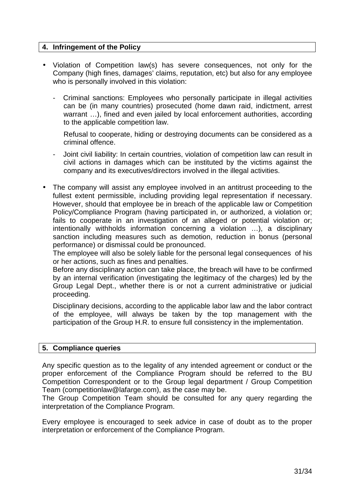# **4. Infringement of the Policy**

- Violation of Competition law(s) has severe consequences, not only for the Company (high fines, damages' claims, reputation, etc) but also for any employee who is personally involved in this violation:
	- Criminal sanctions: Employees who personally participate in illegal activities can be (in many countries) prosecuted (home dawn raid, indictment, arrest warrant …), fined and even jailed by local enforcement authorities, according to the applicable competition law.

Refusal to cooperate, hiding or destroying documents can be considered as a criminal offence.

- Joint civil liability: In certain countries, violation of competition law can result in civil actions in damages which can be instituted by the victims against the company and its executives/directors involved in the illegal activities.
- The company will assist any employee involved in an antitrust proceeding to the fullest extent permissible, including providing legal representation if necessary. However, should that employee be in breach of the applicable law or Competition Policy/Compliance Program (having participated in, or authorized, a violation or; fails to cooperate in an investigation of an alleged or potential violation or; intentionally withholds information concerning a violation …), a disciplinary sanction including measures such as demotion, reduction in bonus (personal performance) or dismissal could be pronounced.

The employee will also be solely liable for the personal legal consequences of his or her actions, such as fines and penalties.

Before any disciplinary action can take place, the breach will have to be confirmed by an internal verification (investigating the legitimacy of the charges) led by the Group Legal Dept., whether there is or not a current administrative or judicial proceeding.

Disciplinary decisions, according to the applicable labor law and the labor contract of the employee, will always be taken by the top management with the participation of the Group H.R. to ensure full consistency in the implementation.

### **5. Compliance queries**

Any specific question as to the legality of any intended agreement or conduct or the proper enforcement of the Compliance Program should be referred to the BU Competition Correspondent or to the Group legal department / Group Competition Team (competitionlaw@lafarge.com), as the case may be.

The Group Competition Team should be consulted for any query regarding the interpretation of the Compliance Program.

Every employee is encouraged to seek advice in case of doubt as to the proper interpretation or enforcement of the Compliance Program.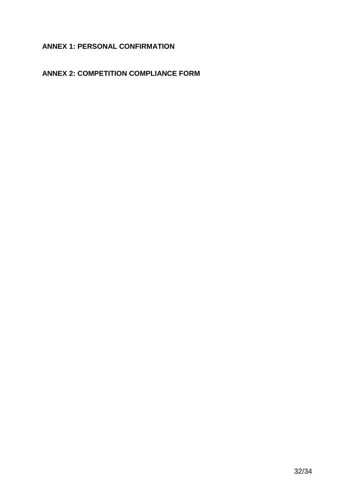# **ANNEX 1: PERSONAL CONFIRMATION**

# **ANNEX 2: COMPETITION COMPLIANCE FORM**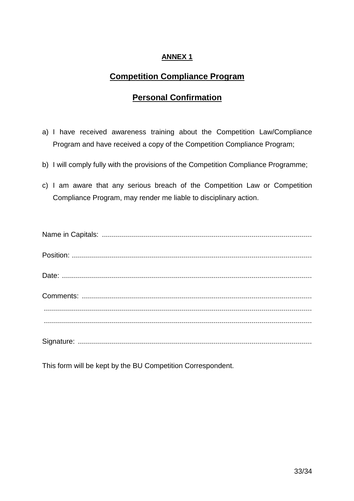# **ANNEX 1**

# **Competition Compliance Program**

# **Personal Confirmation**

- a) I have received awareness training about the Competition Law/Compliance Program and have received a copy of the Competition Compliance Program;
- b) I will comply fully with the provisions of the Competition Compliance Programme;
- c) I am aware that any serious breach of the Competition Law or Competition Compliance Program, may render me liable to disciplinary action.

This form will be kept by the BU Competition Correspondent.